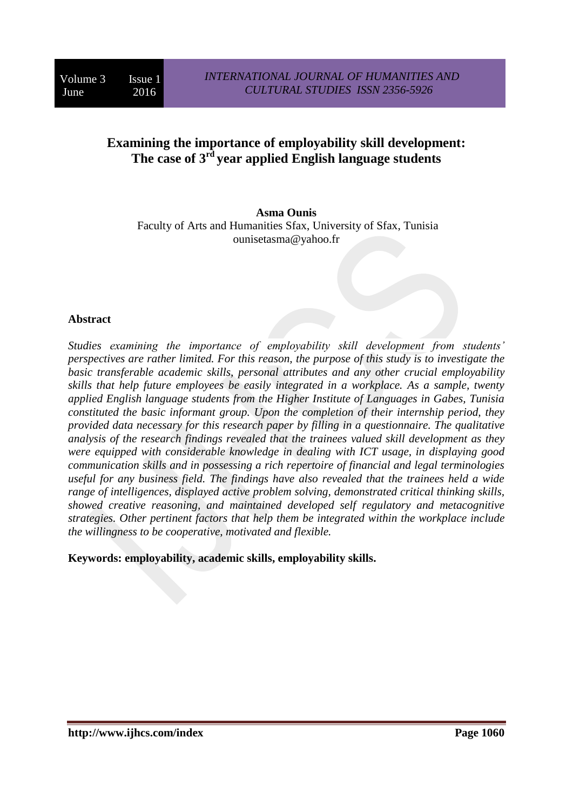# **Examining the importance of employability skill development: The case of 3rd year applied English language students**

**Asma Ounis** Faculty of Arts and Humanities Sfax, University of Sfax, Tunisia ounisetasma@yahoo.fr

#### **Abstract**

*Studies examining the importance of employability skill development from students' perspectives are rather limited. For this reason, the purpose of this study is to investigate the basic transferable academic skills, personal attributes and any other crucial employability skills that help future employees be easily integrated in a workplace. As a sample, twenty applied English language students from the Higher Institute of Languages in Gabes, Tunisia constituted the basic informant group. Upon the completion of their internship period, they provided data necessary for this research paper by filling in a questionnaire. The qualitative analysis of the research findings revealed that the trainees valued skill development as they were equipped with considerable knowledge in dealing with ICT usage, in displaying good communication skills and in possessing a rich repertoire of financial and legal terminologies useful for any business field. The findings have also revealed that the trainees held a wide range of intelligences, displayed active problem solving, demonstrated critical thinking skills, showed creative reasoning, and maintained developed self regulatory and metacognitive strategies. Other pertinent factors that help them be integrated within the workplace include the willingness to be cooperative, motivated and flexible.* 

**Keywords: employability, academic skills, employability skills.**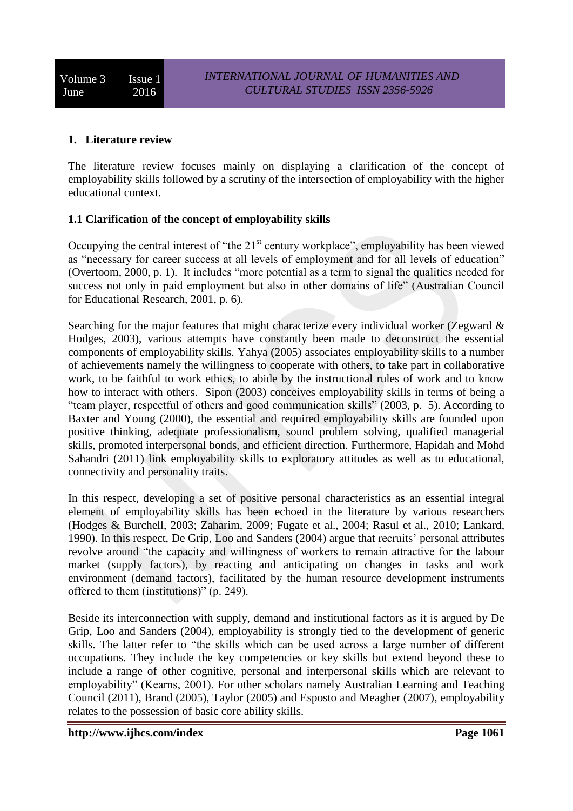## **1. Literature review**

The literature review focuses mainly on displaying a clarification of the concept of employability skills followed by a scrutiny of the intersection of employability with the higher educational context.

## **1.1 Clarification of the concept of employability skills**

Occupying the central interest of "the  $21<sup>st</sup>$  century workplace", employability has been viewed as "necessary for career success at all levels of employment and for all levels of education" (Overtoom, 2000, p. 1). It includes "more potential as a term to signal the qualities needed for success not only in paid employment but also in other domains of life" (Australian Council for Educational Research, 2001, p. 6).

Searching for the major features that might characterize every individual worker (Zegward & Hodges, 2003), various attempts have constantly been made to deconstruct the essential components of employability skills. Yahya (2005) associates employability skills to a number of achievements namely the willingness to cooperate with others, to take part in collaborative work, to be faithful to work ethics, to abide by the instructional rules of work and to know how to interact with others. Sipon (2003) conceives employability skills in terms of being a "team player, respectful of others and good communication skills" (2003, p. 5). According to Baxter and Young (2000), the essential and required employability skills are founded upon positive thinking, adequate professionalism, sound problem solving, qualified managerial skills, promoted interpersonal bonds, and efficient direction. Furthermore, Hapidah and Mohd Sahandri (2011) link employability skills to exploratory attitudes as well as to educational, connectivity and personality traits.

In this respect, developing a set of positive personal characteristics as an essential integral element of employability skills has been echoed in the literature by various researchers (Hodges & Burchell, 2003; Zaharim, 2009; Fugate et al., 2004; Rasul et al., 2010; Lankard, 1990). In this respect, De Grip, Loo and Sanders (2004) argue that recruits' personal attributes revolve around "the capacity and willingness of workers to remain attractive for the labour market (supply factors), by reacting and anticipating on changes in tasks and work environment (demand factors), facilitated by the human resource development instruments offered to them (institutions)" (p. 249).

Beside its interconnection with supply, demand and institutional factors as it is argued by De Grip, Loo and Sanders (2004), employability is strongly tied to the development of generic skills. The latter refer to "the skills which can be used across a large number of different occupations. They include the key competencies or key skills but extend beyond these to include a range of other cognitive, personal and interpersonal skills which are relevant to employability" (Kearns, 2001). For other scholars namely Australian Learning and Teaching Council (2011), Brand (2005), Taylor (2005) and Esposto and Meagher (2007), employability relates to the possession of basic core ability skills.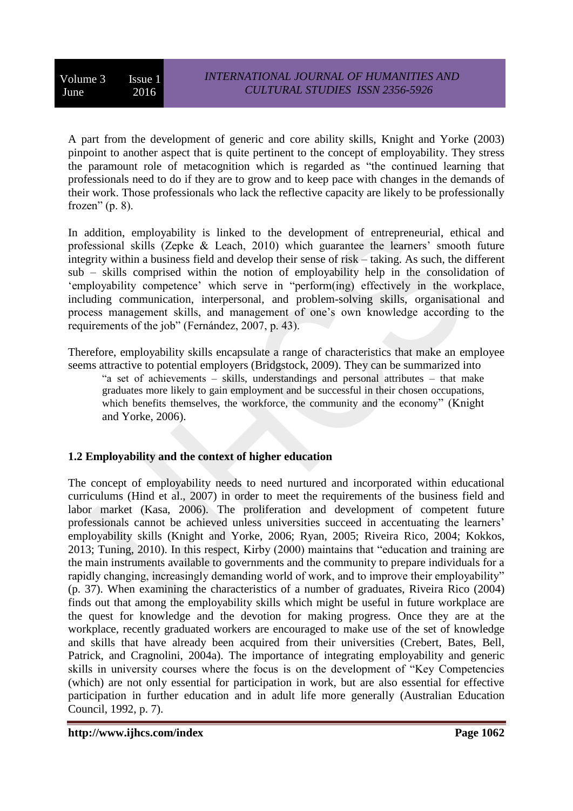A part from the development of generic and core ability skills, Knight and Yorke (2003) pinpoint to another aspect that is quite pertinent to the concept of employability. They stress the paramount role of metacognition which is regarded as "the continued learning that professionals need to do if they are to grow and to keep pace with changes in the demands of their work. Those professionals who lack the reflective capacity are likely to be professionally frozen"  $(p. 8)$ .

In addition, employability is linked to the development of entrepreneurial, ethical and professional skills (Zepke & Leach, 2010) which guarantee the learners' smooth future integrity within a business field and develop their sense of risk – taking. As such, the different sub – skills comprised within the notion of employability help in the consolidation of 'employability competence' which serve in "perform(ing) effectively in the workplace, including communication, interpersonal, and problem-solving skills, organisational and process management skills, and management of one's own knowledge according to the requirements of the job" (Fernández, 2007, p. 43).

Therefore, employability skills encapsulate a range of characteristics that make an employee seems attractive to potential employers (Bridgstock, 2009). They can be summarized into

"a set of achievements – skills, understandings and personal attributes – that make graduates more likely to gain employment and be successful in their chosen occupations, which benefits themselves, the workforce, the community and the economy" (Knight and Yorke, 2006).

# **1.2 Employability and the context of higher education**

The concept of employability needs to need nurtured and incorporated within educational curriculums (Hind et al., 2007) in order to meet the requirements of the business field and labor market (Kasa, 2006). The proliferation and development of competent future professionals cannot be achieved unless universities succeed in accentuating the learners' employability skills (Knight and Yorke, 2006; Ryan, 2005; Riveira Rico, 2004; Kokkos, 2013; Tuning, 2010). In this respect, Kirby (2000) maintains that "education and training are the main instruments available to governments and the community to prepare individuals for a rapidly changing, increasingly demanding world of work, and to improve their employability" (p. 37). When examining the characteristics of a number of graduates, Riveira Rico (2004) finds out that among the employability skills which might be useful in future workplace are the quest for knowledge and the devotion for making progress. Once they are at the workplace, recently graduated workers are encouraged to make use of the set of knowledge and skills that have already been acquired from their universities (Crebert, Bates, Bell, Patrick, and Cragnolini, 2004a). The importance of integrating employability and generic skills in university courses where the focus is on the development of "Key Competencies (which) are not only essential for participation in work, but are also essential for effective participation in further education and in adult life more generally (Australian Education Council, 1992, p. 7).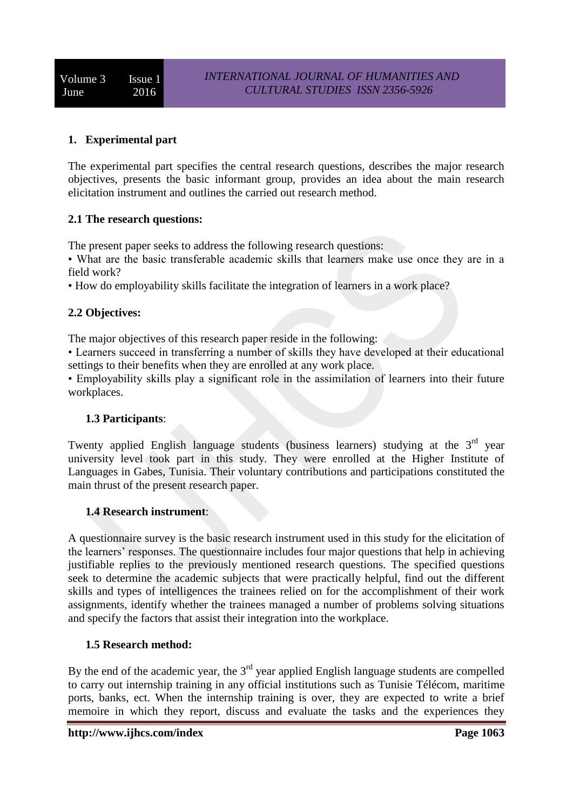# **1. Experimental part**

The experimental part specifies the central research questions, describes the major research objectives, presents the basic informant group, provides an idea about the main research elicitation instrument and outlines the carried out research method.

## **2.1 The research questions:**

The present paper seeks to address the following research questions:

• What are the basic transferable academic skills that learners make use once they are in a field work?

• How do employability skills facilitate the integration of learners in a work place?

# **2.2 Objectives:**

The major objectives of this research paper reside in the following:

• Learners succeed in transferring a number of skills they have developed at their educational settings to their benefits when they are enrolled at any work place.

• Employability skills play a significant role in the assimilation of learners into their future workplaces.

#### **1.3 Participants**:

Twenty applied English language students (business learners) studying at the  $3<sup>rd</sup>$  year university level took part in this study. They were enrolled at the Higher Institute of Languages in Gabes, Tunisia. Their voluntary contributions and participations constituted the main thrust of the present research paper.

#### **1.4 Research instrument**:

A questionnaire survey is the basic research instrument used in this study for the elicitation of the learners' responses. The questionnaire includes four major questions that help in achieving justifiable replies to the previously mentioned research questions. The specified questions seek to determine the academic subjects that were practically helpful, find out the different skills and types of intelligences the trainees relied on for the accomplishment of their work assignments, identify whether the trainees managed a number of problems solving situations and specify the factors that assist their integration into the workplace.

#### **1.5 Research method:**

By the end of the academic year, the  $3<sup>rd</sup>$  year applied English language students are compelled to carry out internship training in any official institutions such as Tunisie Télécom, maritime ports, banks, ect. When the internship training is over, they are expected to write a brief memoire in which they report, discuss and evaluate the tasks and the experiences they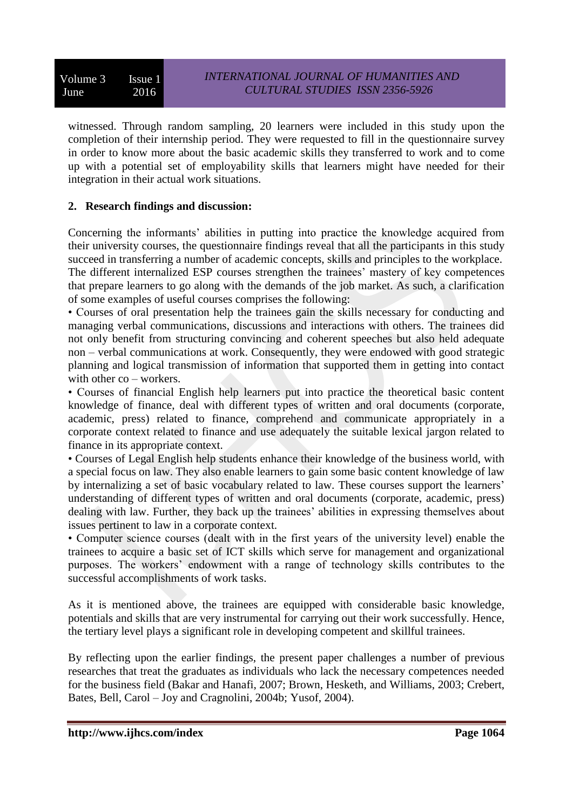witnessed. Through random sampling, 20 learners were included in this study upon the completion of their internship period. They were requested to fill in the questionnaire survey in order to know more about the basic academic skills they transferred to work and to come up with a potential set of employability skills that learners might have needed for their integration in their actual work situations.

## **2. Research findings and discussion:**

Concerning the informants' abilities in putting into practice the knowledge acquired from their university courses, the questionnaire findings reveal that all the participants in this study succeed in transferring a number of academic concepts, skills and principles to the workplace. The different internalized ESP courses strengthen the trainees' mastery of key competences that prepare learners to go along with the demands of the job market. As such, a clarification of some examples of useful courses comprises the following:

• Courses of oral presentation help the trainees gain the skills necessary for conducting and managing verbal communications, discussions and interactions with others. The trainees did not only benefit from structuring convincing and coherent speeches but also held adequate non – verbal communications at work. Consequently, they were endowed with good strategic planning and logical transmission of information that supported them in getting into contact with other co – workers.

• Courses of financial English help learners put into practice the theoretical basic content knowledge of finance, deal with different types of written and oral documents (corporate, academic, press) related to finance, comprehend and communicate appropriately in a corporate context related to finance and use adequately the suitable lexical jargon related to finance in its appropriate context.

• Courses of Legal English help students enhance their knowledge of the business world, with a special focus on law. They also enable learners to gain some basic content knowledge of law by internalizing a set of basic vocabulary related to law. These courses support the learners' understanding of different types of written and oral documents (corporate, academic, press) dealing with law. Further, they back up the trainees' abilities in expressing themselves about issues pertinent to law in a corporate context.

• Computer science courses (dealt with in the first years of the university level) enable the trainees to acquire a basic set of ICT skills which serve for management and organizational purposes. The workers' endowment with a range of technology skills contributes to the successful accomplishments of work tasks.

As it is mentioned above, the trainees are equipped with considerable basic knowledge, potentials and skills that are very instrumental for carrying out their work successfully. Hence, the tertiary level plays a significant role in developing competent and skillful trainees.

By reflecting upon the earlier findings, the present paper challenges a number of previous researches that treat the graduates as individuals who lack the necessary competences needed for the business field (Bakar and Hanafi, 2007; Brown, Hesketh, and Williams, 2003; Crebert, Bates, Bell, Carol – Joy and Cragnolini, 2004b; Yusof, 2004).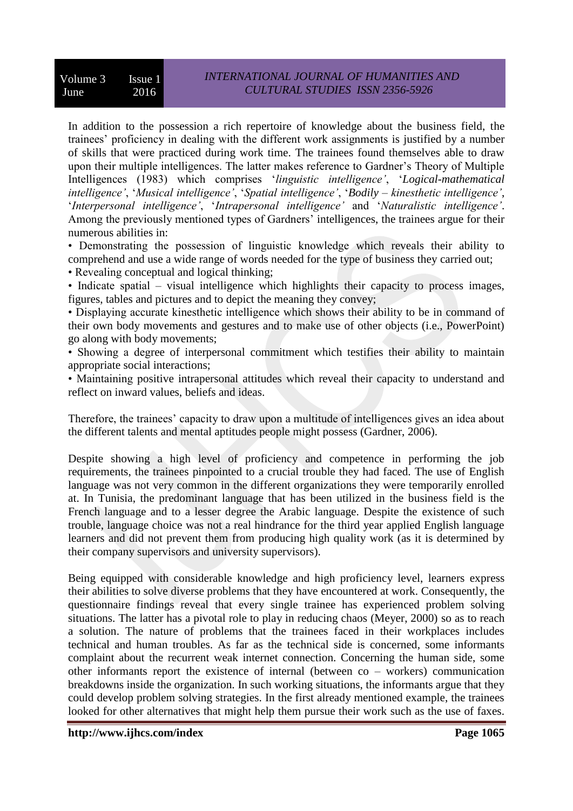In addition to the possession a rich repertoire of knowledge about the business field, the trainees' proficiency in dealing with the different work assignments is justified by a number of skills that were practiced during work time. The trainees found themselves able to draw upon their multiple intelligences. The latter makes reference to Gardner's Theory of Multiple Intelligences (1983) which comprises '*linguistic intelligence'*, '*Logical-mathematical intelligence'*, '*Musical intelligence'*, '*Spatial intelligence'*, '*Bodily – kinesthetic intelligence'*, '*Interpersonal intelligence'*, '*Intrapersonal intelligence'* and '*Naturalistic intelligence'*. Among the previously mentioned types of Gardners' intelligences, the trainees argue for their numerous abilities in:

• Demonstrating the possession of linguistic knowledge which reveals their ability to comprehend and use a wide range of words needed for the type of business they carried out;

• Revealing conceptual and logical thinking;

• Indicate spatial – visual intelligence which highlights their capacity to process images, figures, tables and pictures and to depict the meaning they convey;

• Displaying accurate kinesthetic intelligence which shows their ability to be in command of their own body movements and gestures and to make use of other objects (i.e., PowerPoint) go along with body movements;

• Showing a degree of interpersonal commitment which testifies their ability to maintain appropriate social interactions;

• Maintaining positive intrapersonal attitudes which reveal their capacity to understand and reflect on inward values, beliefs and ideas.

Therefore, the trainees' capacity to draw upon a multitude of intelligences gives an idea about the different talents and mental aptitudes people might possess (Gardner, 2006).

Despite showing a high level of proficiency and competence in performing the job requirements, the trainees pinpointed to a crucial trouble they had faced. The use of English language was not very common in the different organizations they were temporarily enrolled at. In Tunisia, the predominant language that has been utilized in the business field is the French language and to a lesser degree the Arabic language. Despite the existence of such trouble, language choice was not a real hindrance for the third year applied English language learners and did not prevent them from producing high quality work (as it is determined by their company supervisors and university supervisors).

Being equipped with considerable knowledge and high proficiency level, learners express their abilities to solve diverse problems that they have encountered at work. Consequently, the questionnaire findings reveal that every single trainee has experienced problem solving situations. The latter has a pivotal role to play in reducing chaos (Meyer, 2000) so as to reach a solution. The nature of problems that the trainees faced in their workplaces includes technical and human troubles. As far as the technical side is concerned, some informants complaint about the recurrent weak internet connection. Concerning the human side, some other informants report the existence of internal (between co – workers) communication breakdowns inside the organization. In such working situations, the informants argue that they could develop problem solving strategies. In the first already mentioned example, the trainees looked for other alternatives that might help them pursue their work such as the use of faxes.

**http://www.ijhcs.com/index Page 1065**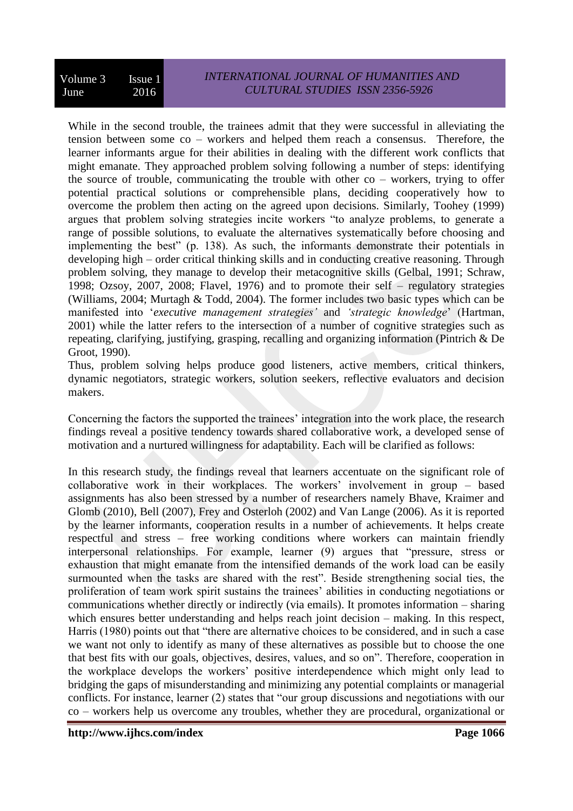While in the second trouble, the trainees admit that they were successful in alleviating the tension between some co – workers and helped them reach a consensus. Therefore, the learner informants argue for their abilities in dealing with the different work conflicts that might emanate. They approached problem solving following a number of steps: identifying the source of trouble, communicating the trouble with other  $co$  – workers, trying to offer potential practical solutions or comprehensible plans, deciding cooperatively how to overcome the problem then acting on the agreed upon decisions. Similarly, Toohey (1999) argues that problem solving strategies incite workers "to analyze problems, to generate a range of possible solutions, to evaluate the alternatives systematically before choosing and implementing the best" (p. 138). As such, the informants demonstrate their potentials in developing high – order critical thinking skills and in conducting creative reasoning. Through problem solving, they manage to develop their metacognitive skills (Gelbal, 1991; Schraw, 1998; Ozsoy, 2007, 2008; Flavel, 1976) and to promote their self – regulatory strategies (Williams, 2004; Murtagh & Todd, 2004). The former includes two basic types which can be manifested into '*executive management strategies'* and *'strategic knowledge*' (Hartman, 2001) while the latter refers to the intersection of a number of cognitive strategies such as repeating, clarifying, justifying, grasping, recalling and organizing information (Pintrich & De Groot, 1990).

Thus, problem solving helps produce good listeners, active members, critical thinkers, dynamic negotiators, strategic workers, solution seekers, reflective evaluators and decision makers.

Concerning the factors the supported the trainees' integration into the work place, the research findings reveal a positive tendency towards shared collaborative work, a developed sense of motivation and a nurtured willingness for adaptability. Each will be clarified as follows:

In this research study, the findings reveal that learners accentuate on the significant role of collaborative work in their workplaces. The workers' involvement in group – based assignments has also been stressed by a number of researchers namely Bhave, Kraimer and Glomb (2010), Bell (2007), Frey and Osterloh (2002) and Van Lange (2006). As it is reported by the learner informants, cooperation results in a number of achievements. It helps create respectful and stress – free working conditions where workers can maintain friendly interpersonal relationships. For example, learner (9) argues that "pressure, stress or exhaustion that might emanate from the intensified demands of the work load can be easily surmounted when the tasks are shared with the rest". Beside strengthening social ties, the proliferation of team work spirit sustains the trainees' abilities in conducting negotiations or communications whether directly or indirectly (via emails). It promotes information – sharing which ensures better understanding and helps reach joint decision – making. In this respect, Harris (1980) points out that "there are alternative choices to be considered, and in such a case we want not only to identify as many of these alternatives as possible but to choose the one that best fits with our goals, objectives, desires, values, and so on". Therefore, cooperation in the workplace develops the workers' positive interdependence which might only lead to bridging the gaps of misunderstanding and minimizing any potential complaints or managerial conflicts. For instance, learner (2) states that "our group discussions and negotiations with our co – workers help us overcome any troubles, whether they are procedural, organizational or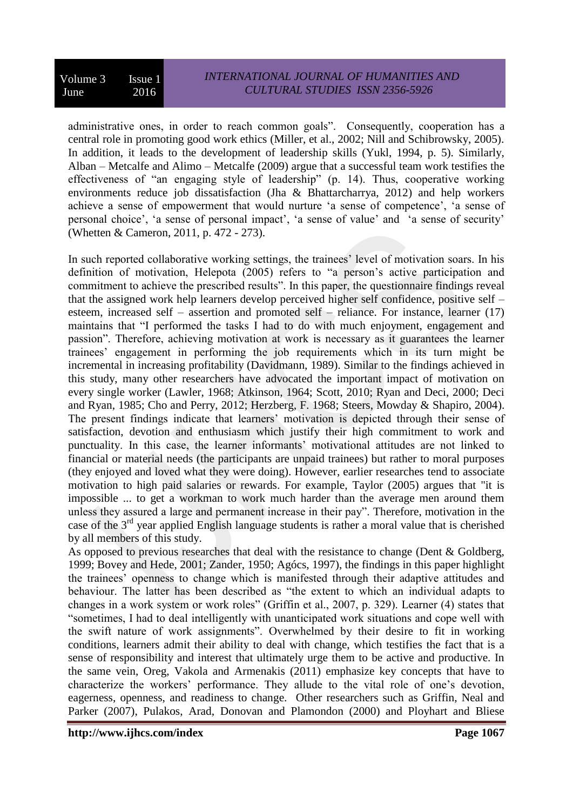administrative ones, in order to reach common goals". Consequently, cooperation has a central role in promoting good work ethics (Miller, et al., 2002; Nill and Schibrowsky, 2005). In addition, it leads to the development of leadership skills (Yukl, 1994, p. 5). Similarly, Alban – Metcalfe and Alimo – Metcalfe (2009) argue that a successful team work testifies the effectiveness of "an engaging style of leadership" (p. 14). Thus, cooperative working environments reduce job dissatisfaction (Jha & Bhattarcharrya, 2012) and help workers achieve a sense of empowerment that would nurture 'a sense of competence', 'a sense of personal choice', 'a sense of personal impact', 'a sense of value' and 'a sense of security' (Whetten & Cameron, 2011, p. 472 - 273).

In such reported collaborative working settings, the trainees' level of motivation soars. In his definition of motivation, Helepota (2005) refers to "a person's active participation and commitment to achieve the prescribed results". In this paper, the questionnaire findings reveal that the assigned work help learners develop perceived higher self confidence, positive self – esteem, increased self – assertion and promoted self – reliance. For instance, learner (17) maintains that "I performed the tasks I had to do with much enjoyment, engagement and passion". Therefore, achieving motivation at work is necessary as it guarantees the learner trainees' engagement in performing the job requirements which in its turn might be incremental in increasing profitability (Davidmann, 1989). Similar to the findings achieved in this study, many other researchers have advocated the important impact of motivation on every single worker (Lawler, 1968; Atkinson, 1964; Scott, 2010; Ryan and Deci, 2000; Deci and Ryan, 1985; Cho and Perry, 2012; Herzberg, F. 1968; Steers, Mowday & Shapiro, 2004). The present findings indicate that learners' motivation is depicted through their sense of satisfaction, devotion and enthusiasm which justify their high commitment to work and punctuality. In this case, the learner informants' motivational attitudes are not linked to financial or material needs (the participants are unpaid trainees) but rather to moral purposes (they enjoyed and loved what they were doing). However, earlier researches tend to associate motivation to high paid salaries or rewards. For example, Taylor (2005) argues that "it is impossible ... to get a workman to work much harder than the average men around them unless they assured a large and permanent increase in their pay". Therefore, motivation in the case of the 3rd year applied English language students is rather a moral value that is cherished by all members of this study.

As opposed to previous researches that deal with the resistance to change (Dent & Goldberg, 1999; Bovey and Hede, 2001; Zander, 1950; Agócs, 1997), the findings in this paper highlight the trainees' openness to change which is manifested through their adaptive attitudes and behaviour. The latter has been described as "the extent to which an individual adapts to changes in a work system or work roles" (Griffin et al., 2007, p. 329). Learner (4) states that "sometimes, I had to deal intelligently with unanticipated work situations and cope well with the swift nature of work assignments". Overwhelmed by their desire to fit in working conditions, learners admit their ability to deal with change, which testifies the fact that is a sense of responsibility and interest that ultimately urge them to be active and productive. In the same vein, Oreg, Vakola and Armenakis (2011) emphasize key concepts that have to characterize the workers' performance. They allude to the vital role of one's devotion, eagerness, openness, and readiness to change. Other researchers such as Griffin, Neal and Parker (2007), Pulakos, Arad, Donovan and Plamondon (2000) and Ployhart and Bliese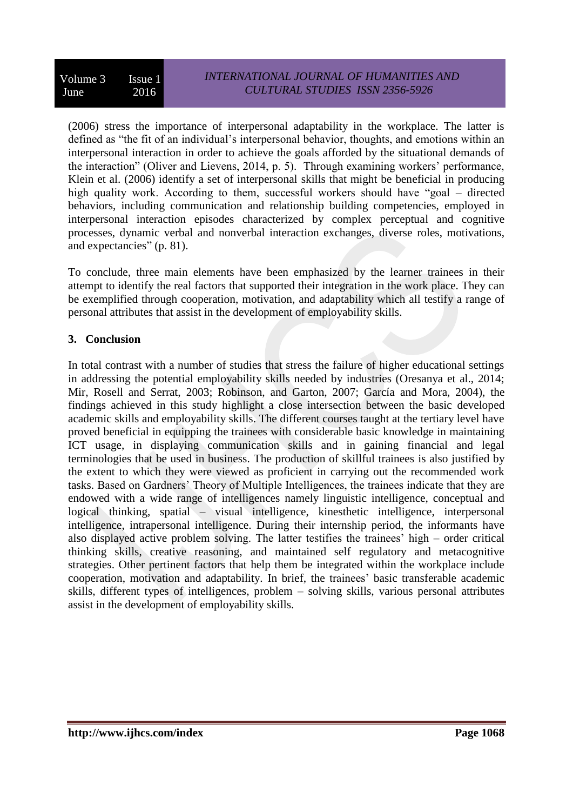(2006) stress the importance of interpersonal adaptability in the workplace. The latter is defined as "the fit of an individual's interpersonal behavior, thoughts, and emotions within an interpersonal interaction in order to achieve the goals afforded by the situational demands of the interaction" (Oliver and Lievens, 2014, p. 5). Through examining workers' performance, Klein et al. (2006) identify a set of interpersonal skills that might be beneficial in producing high quality work. According to them, successful workers should have "goal – directed behaviors, including communication and relationship building competencies, employed in interpersonal interaction episodes characterized by complex perceptual and cognitive processes, dynamic verbal and nonverbal interaction exchanges, diverse roles, motivations, and expectancies" (p. 81).

To conclude, three main elements have been emphasized by the learner trainees in their attempt to identify the real factors that supported their integration in the work place. They can be exemplified through cooperation, motivation, and adaptability which all testify a range of personal attributes that assist in the development of employability skills.

# **3. Conclusion**

In total contrast with a number of studies that stress the failure of higher educational settings in addressing the potential employability skills needed by industries (Oresanya et al., 2014; Mir, Rosell and Serrat, 2003; Robinson, and Garton, 2007; García and Mora, 2004), the findings achieved in this study highlight a close intersection between the basic developed academic skills and employability skills. The different courses taught at the tertiary level have proved beneficial in equipping the trainees with considerable basic knowledge in maintaining ICT usage, in displaying communication skills and in gaining financial and legal terminologies that be used in business. The production of skillful trainees is also justified by the extent to which they were viewed as proficient in carrying out the recommended work tasks. Based on Gardners' Theory of Multiple Intelligences, the trainees indicate that they are endowed with a wide range of intelligences namely linguistic intelligence, conceptual and logical thinking, spatial – visual intelligence, kinesthetic intelligence, interpersonal intelligence, intrapersonal intelligence. During their internship period, the informants have also displayed active problem solving. The latter testifies the trainees' high – order critical thinking skills, creative reasoning, and maintained self regulatory and metacognitive strategies. Other pertinent factors that help them be integrated within the workplace include cooperation, motivation and adaptability. In brief, the trainees' basic transferable academic skills, different types of intelligences, problem – solving skills, various personal attributes assist in the development of employability skills.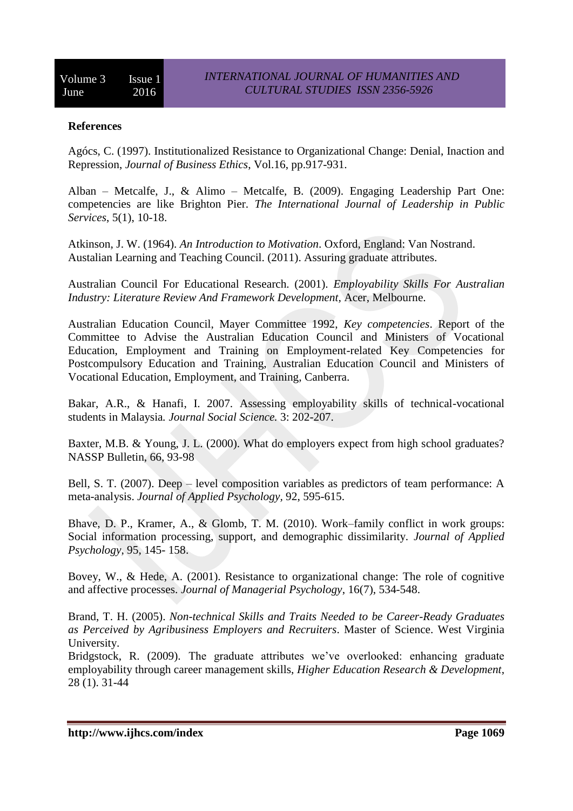#### **References**

Agócs, C. (1997). Institutionalized Resistance to Organizational Change: Denial, Inaction and Repression, *Journal of Business Ethics*, Vol.16, pp.917-931.

Alban – Metcalfe, J., & Alimo – Metcalfe, B. (2009). Engaging Leadership Part One: competencies are like Brighton Pier. *The International Journal of Leadership in Public Services*, 5(1), 10-18.

Atkinson, J. W. (1964). *An Introduction to Motivation*. Oxford, England: Van Nostrand. Austalian Learning and Teaching Council. (2011). Assuring graduate attributes.

Australian Council For Educational Research. (2001). *Employability Skills For Australian Industry: Literature Review And Framework Development,* Acer, Melbourne.

Australian Education Council, Mayer Committee 1992, *Key competencies*. Report of the Committee to Advise the Australian Education Council and Ministers of Vocational Education, Employment and Training on Employment-related Key Competencies for Postcompulsory Education and Training, Australian Education Council and Ministers of Vocational Education, Employment, and Training, Canberra.

Bakar, A.R., & Hanafi, I. 2007. Assessing employability skills of technical-vocational students in Malaysia*. Journal Social Science.* 3: 202-207.

Baxter, M.B. & Young, J. L. (2000). What do employers expect from high school graduates? NASSP Bulletin, 66, 93-98

Bell, S. T. (2007). Deep – level composition variables as predictors of team performance: A meta-analysis. *Journal of Applied Psychology,* 92, 595-615.

Bhave, D. P., Kramer, A., & Glomb, T. M. (2010). Work–family conflict in work groups: Social information processing, support, and demographic dissimilarity*. Journal of Applied Psychology*, 95, 145- 158.

Bovey, W., & Hede, A. (2001). Resistance to organizational change: The role of cognitive and affective processes. *Journal of Managerial Psychology*, 16(7), 534-548.

Brand, T. H. (2005). *Non-technical Skills and Traits Needed to be Career-Ready Graduates as Perceived by Agribusiness Employers and Recruiters*. Master of Science. West Virginia University.

Bridgstock, R. (2009). The graduate attributes we've overlooked: enhancing graduate employability through career management skills, *Higher Education Research & Development*, 28 (1). 31-44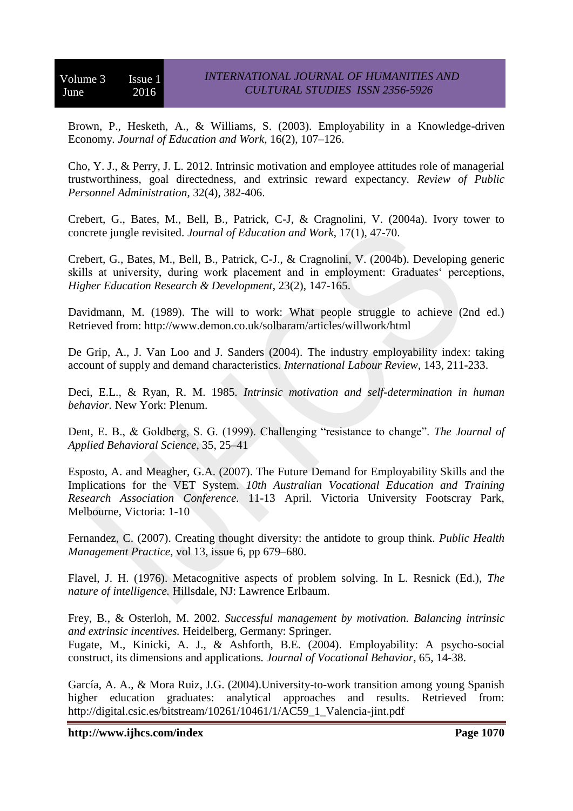Brown, P., Hesketh, A., & Williams, S. (2003). Employability in a Knowledge-driven Economy*. Journal of Education and Work*, 16(2), 107–126.

Cho, Y. J., & Perry, J. L. 2012. Intrinsic motivation and employee attitudes role of managerial trustworthiness, goal directedness, and extrinsic reward expectancy. *Review of Public Personnel Administration*, 32(4), 382-406.

Crebert, G., Bates, M., Bell, B., Patrick, C-J, & Cragnolini, V. (2004a). Ivory tower to concrete jungle revisited. *Journal of Education and Work*, 17(1), 47-70.

Crebert, G., Bates, M., Bell, B., Patrick, C-J., & Cragnolini, V. (2004b). Developing generic skills at university, during work placement and in employment: Graduates' perceptions, *Higher Education Research & Development*, 23(2), 147-165.

Davidmann, M. (1989). The will to work: What people struggle to achieve (2nd ed.) Retrieved from: http://www.demon.co.uk/solbaram/articles/willwork/html

De Grip, A., J. Van Loo and J. Sanders (2004). The industry employability index: taking account of supply and demand characteristics. *International Labour Review,* 143, 211-233.

Deci, E.L., & Ryan, R. M. 1985. *Intrinsic motivation and self-determination in human behavior.* New York: Plenum.

Dent, E. B., & Goldberg, S. G. (1999). Challenging "resistance to change". *The Journal of Applied Behavioral Science*, 35, 25–41

Esposto, A. and Meagher, G.A. (2007). The Future Demand for Employability Skills and the Implications for the VET System. *10th Australian Vocational Education and Training Research Association Conference.* 11-13 April. Victoria University Footscray Park, Melbourne, Victoria: 1-10

Fernandez, C. (2007). Creating thought diversity: the antidote to group think. *Public Health Management Practice*, vol 13, issue 6, pp 679–680.

Flavel, J. H. (1976). Metacognitive aspects of problem solving. In L. Resnick (Ed.), *The nature of intelligence.* Hillsdale, NJ: Lawrence Erlbaum.

Frey, B., & Osterloh, M. 2002. *Successful management by motivation. Balancing intrinsic and extrinsic incentives.* Heidelberg, Germany: Springer.

Fugate, M., Kinicki, A. J., & Ashforth, B.E. (2004). Employability: A psycho-social construct, its dimensions and applications*. Journal of Vocational Behavior*, 65, 14-38.

García, A. A., & Mora Ruiz, J.G. (2004).University-to-work transition among young Spanish higher education graduates: analytical approaches and results. Retrieved from: http://digital.csic.es/bitstream/10261/10461/1/AC59\_1\_Valencia-jint.pdf

**http://www.ijhcs.com/index Page 1070**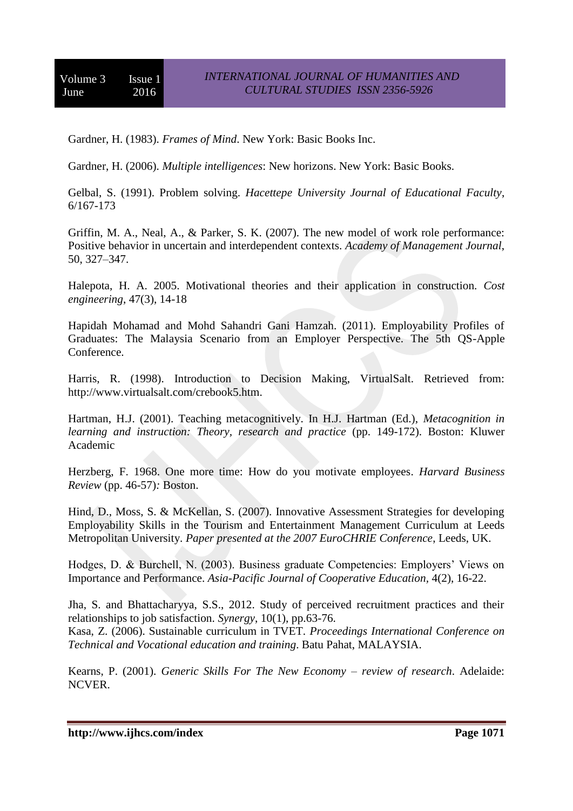Gardner, H. (1983). *Frames of Mind*. New York: Basic Books Inc.

Gardner, H. (2006). *Multiple intelligences*: New horizons. New York: Basic Books.

Gelbal, S. (1991). Problem solving. *Hacettepe University Journal of Educational Faculty*, 6/167-173

Griffin, M. A., Neal, A., & Parker, S. K. (2007). The new model of work role performance: Positive behavior in uncertain and interdependent contexts. *Academy of Management Journal*, 50, 327–347.

Halepota, H. A. 2005. Motivational theories and their application in construction. *Cost engineering*, 47(3), 14-18

Hapidah Mohamad and Mohd Sahandri Gani Hamzah. (2011). Employability Profiles of Graduates: The Malaysia Scenario from an Employer Perspective. The 5th QS-Apple Conference.

Harris, R. (1998). Introduction to Decision Making, VirtualSalt. Retrieved from: http://www.virtualsalt.com/crebook5.htm.

Hartman, H.J. (2001). Teaching metacognitively. In H.J. Hartman (Ed.), *Metacognition in learning and instruction: Theory, research and practice (pp. 149-172). Boston: Kluwer* Academic

Herzberg, F. 1968. One more time: How do you motivate employees. *Harvard Business Review* (pp. 46-57)*:* Boston.

Hind, D., Moss, S. & McKellan, S. (2007). Innovative Assessment Strategies for developing Employability Skills in the Tourism and Entertainment Management Curriculum at Leeds Metropolitan University. *Paper presented at the 2007 EuroCHRIE Conference*, Leeds, UK.

Hodges, D. & Burchell, N. (2003). Business graduate Competencies: Employers' Views on Importance and Performance. *Asia-Pacific Journal of Cooperative Education,* 4(2), 16-22.

Jha, S. and Bhattacharyya, S.S., 2012. Study of perceived recruitment practices and their relationships to job satisfaction. *Synergy*, 10(1), pp.63-76.

Kasa, Z. (2006). Sustainable curriculum in TVET. *Proceedings International Conference on Technical and Vocational education and training*. Batu Pahat, MALAYSIA.

Kearns, P. (2001). *Generic Skills For The New Economy – review of research*. Adelaide: NCVER.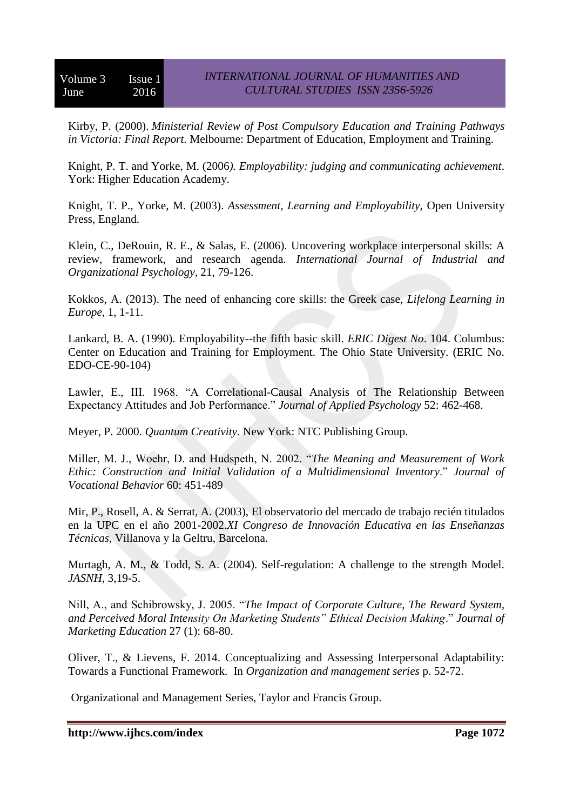Kirby, P. (2000). *Ministerial Review of Post Compulsory Education and Training Pathways in Victoria: Final Report*. Melbourne: Department of Education, Employment and Training.

Knight, P. T. and Yorke, M. (2006*). Employability: judging and communicating achievement*. York: Higher Education Academy.

Knight, T. P., Yorke, M. (2003). *Assessment, Learning and Employability*, Open University Press, England.

Klein, C., DeRouin, R. E., & Salas, E. (2006). Uncovering workplace interpersonal skills: A review, framework, and research agenda. *International Journal of Industrial and Organizational Psychology*, 21, 79-126.

Kokkos, A. (2013). The need of enhancing core skills: the Greek case, *Lifelong Learning in Europe*, 1, 1-11.

Lankard, B. A. (1990). Employability--the fifth basic skill. *ERIC Digest No*. 104. Columbus: Center on Education and Training for Employment. The Ohio State University. (ERIC No. EDO-CE-90-104)

Lawler, E., III. 1968. "A Correlational-Causal Analysis of The Relationship Between Expectancy Attitudes and Job Performance." *Journal of Applied Psychology* 52: 462-468.

Meyer, P. 2000. *Quantum Creativity.* New York: NTC Publishing Group.

Miller, M. J., Woehr, D. and Hudspeth, N. 2002. "*The Meaning and Measurement of Work Ethic: Construction and Initial Validation of a Multidimensional Inventory*." *Journal of Vocational Behavior* 60: 451-489

Mir, P., Rosell, A. & Serrat, A. (2003), El observatorio del mercado de trabajo recién titulados en la UPC en el año 2001-2002.*XI Congreso de Innovación Educativa en las Enseñanzas Técnicas*, Villanova y la Geltru, Barcelona.

Murtagh, A. M., & Todd, S. A. (2004). Self-regulation: A challenge to the strength Model. *JASNH*, 3,19-5.

Nill, A., and Schibrowsky, J. 2005. "*The Impact of Corporate Culture, The Reward System, and Perceived Moral Intensity On Marketing Students" Ethical Decision Making*." *Journal of Marketing Education* 27 (1): 68-80.

Oliver, T., & Lievens, F. 2014. Conceptualizing and Assessing Interpersonal Adaptability: Towards a Functional Framework. In *[Organization](https://biblio.ugent.be/publication?q=parent+exact+%22Organization+and+management+series%22) and management series* p. 52-72.

Organizational and Management Series, Taylor and Francis Group.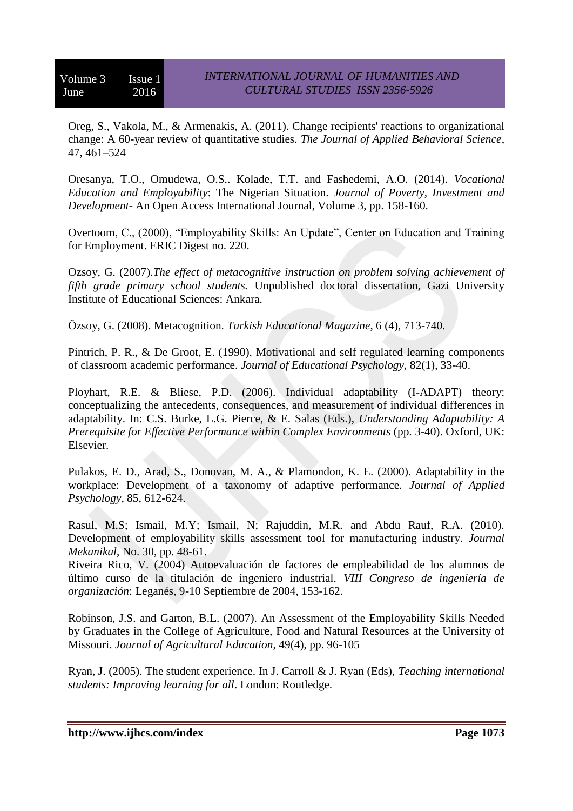Oreg, S., Vakola, M., & Armenakis, A. (2011). Change recipients' reactions to organizational change: A 60-year review of quantitative studies*. The Journal of Applied Behavioral Science*, 47, 461–524

Oresanya, T.O., Omudewa, O.S.. Kolade, T.T. and Fashedemi, A.O. (2014). *Vocational Education and Employability*: The Nigerian Situation. *Journal of Poverty, Investment and Development*- An Open Access International Journal, Volume 3, pp. 158-160.

Overtoom, C., (2000), "Employability Skills: An Update", Center on Education and Training for Employment. ERIC Digest no. 220.

Ozsoy, G. (2007).*The effect of metacognitive instruction on problem solving achievement of fifth grade primary school students.* Unpublished doctoral dissertation, Gazi University Institute of Educational Sciences: Ankara.

Özsoy, G. (2008). Metacognition. *Turkish Educational Magazine*, 6 (4), 713-740.

Pintrich, P. R., & De Groot, E. (1990). Motivational and self regulated learning components of classroom academic performance. *Journal of Educational Psychology,* 82(1), 33-40.

Ployhart, R.E. & Bliese, P.D. (2006). Individual adaptability (I-ADAPT) theory: conceptualizing the antecedents, consequences, and measurement of individual differences in adaptability. In: C.S. Burke, L.G. Pierce, & E. Salas (Eds.), *Understanding Adaptability: A Prerequisite for Effective Performance within Complex Environments* (pp. 3-40). Oxford, UK: Elsevier.

Pulakos, E. D., Arad, S., Donovan, M. A., & Plamondon, K. E. (2000). Adaptability in the workplace: Development of a taxonomy of adaptive performance. *Journal of Applied Psychology*, 85, 612-624.

Rasul, M.S; Ismail, M.Y; Ismail, N; Rajuddin, M.R. and Abdu Rauf, R.A. (2010). Development of employability skills assessment tool for manufacturing industry. *Journal Mekanikal*, No. 30, pp. 48-61.

Riveira Rico, V. (2004) Autoevaluación de factores de empleabilidad de los alumnos de último curso de la titulación de ingeniero industrial. *VIII Congreso de ingeniería de organización*: Leganés, 9-10 Septiembre de 2004, 153-162.

Robinson, J.S. and Garton, B.L. (2007). An Assessment of the Employability Skills Needed by Graduates in the College of Agriculture, Food and Natural Resources at the University of Missouri. *Journal of Agricultural Education*, 49(4), pp. 96-105

Ryan, J. (2005). The student experience. In J. Carroll & J. Ryan (Eds), *Teaching international students: Improving learning for all*. London: Routledge.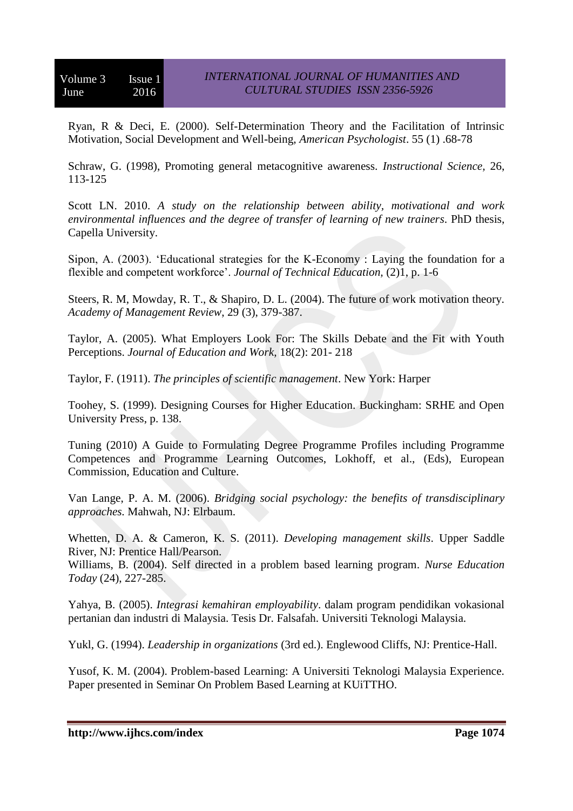Ryan, R & Deci, E. (2000). Self-Determination Theory and the Facilitation of Intrinsic Motivation, Social Development and Well-being, *American Psychologist*. 55 (1) .68-78

Schraw, G. (1998), Promoting general metacognitive awareness. *Instructional Science,* 26, 113-125

Scott LN. 2010. *A study on the relationship between ability, motivational and work environmental influences and the degree of transfer of learning of new trainers*. PhD thesis, Capella University.

Sipon, A. (2003). 'Educational strategies for the K-Economy : Laying the foundation for a flexible and competent workforce'. *Journal of Technical Education,* (2)1, p. 1-6

Steers, R. M, Mowday, R. T., & Shapiro, D. L. (2004). The future of work motivation theory. *Academy of Management Review*, 29 (3), 379-387.

Taylor, A. (2005). What Employers Look For: The Skills Debate and the Fit with Youth Perceptions. *Journal of Education and Work*, 18(2): 201- 218

Taylor, F. (1911). *The principles of scientific management*. New York: Harper

Toohey, S. (1999). Designing Courses for Higher Education. Buckingham: SRHE and Open University Press, p. 138.

Tuning (2010) A Guide to Formulating Degree Programme Profiles including Programme Competences and Programme Learning Outcomes, Lokhoff, et al., (Eds), European Commission, Education and Culture.

Van Lange, P. A. M. (2006). *Bridging social psychology: the benefits of transdisciplinary approaches.* Mahwah, NJ: Elrbaum.

Whetten, D. A. & Cameron, K. S. (2011). *Developing management skills*. Upper Saddle River, NJ: Prentice Hall/Pearson.

Williams, B. (2004). Self directed in a problem based learning program. *Nurse Education Today* (24), 227-285.

Yahya, B. (2005). *Integrasi kemahiran employability*. dalam program pendidikan vokasional pertanian dan industri di Malaysia. Tesis Dr. Falsafah. Universiti Teknologi Malaysia.

Yukl, G. (1994). *Leadership in organizations* (3rd ed.). Englewood Cliffs, NJ: Prentice-Hall.

Yusof, K. M. (2004). Problem-based Learning: A Universiti Teknologi Malaysia Experience. Paper presented in Seminar On Problem Based Learning at KUiTTHO.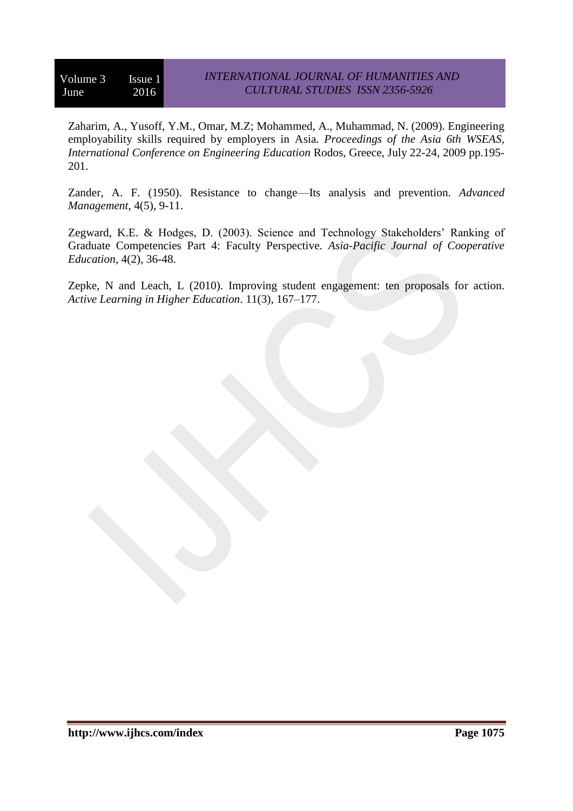Zaharim, A., Yusoff, Y.M., Omar, M.Z; Mohammed, A., Muhammad, N. (2009). Engineering employability skills required by employers in Asia. *Proceedings of the Asia 6th WSEAS, International Conference on Engineering Education* Rodos, Greece, July 22-24, 2009 pp.195- 201.

Zander, A. F. (1950). Resistance to change—Its analysis and prevention. *Advanced Management*, 4(5), 9-11.

Zegward, K.E. & Hodges, D. (2003). Science and Technology Stakeholders' Ranking of Graduate Competencies Part 4: Faculty Perspective. *Asia-Pacific Journal of Cooperative Education*, 4(2), 36-48.

Zepke, N and Leach, L (2010). Improving student engagement: ten proposals for action. *Active Learning in Higher Education*. 11(3), 167–177.